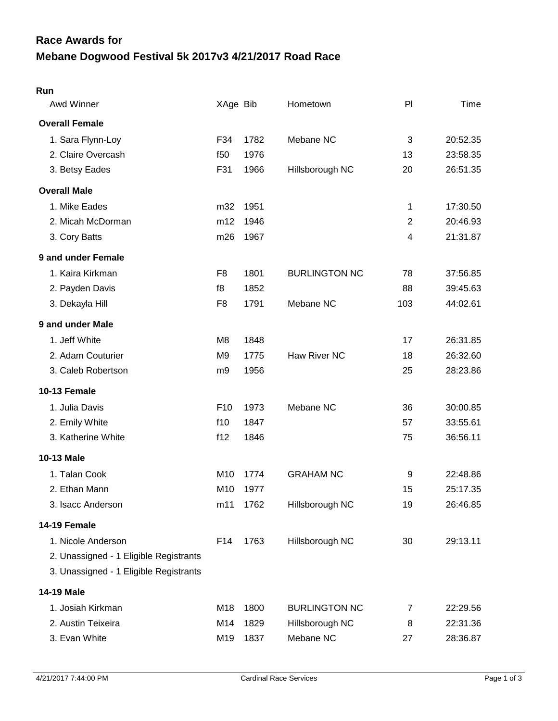## **Mebane Dogwood Festival 5k 2017v3 4/21/2017 Road Race Race Awards for**

| Awd Winner                             | XAge Bib        |          | Hometown             | PI             | Time     |
|----------------------------------------|-----------------|----------|----------------------|----------------|----------|
| <b>Overall Female</b>                  |                 |          |                      |                |          |
| 1. Sara Flynn-Loy                      | F34             | 1782     | Mebane NC            | 3              | 20:52.35 |
| 2. Claire Overcash                     | f50             | 1976     |                      | 13             | 23:58.35 |
| 3. Betsy Eades                         | F31             | 1966     | Hillsborough NC      | 20             | 26:51.35 |
| <b>Overall Male</b>                    |                 |          |                      |                |          |
| 1. Mike Eades                          | m32             | 1951     |                      | 1              | 17:30.50 |
| 2. Micah McDorman                      | m12             | 1946     |                      | $\overline{2}$ | 20:46.93 |
| 3. Cory Batts                          | m26             | 1967     |                      | 4              | 21:31.87 |
| 9 and under Female                     |                 |          |                      |                |          |
| 1. Kaira Kirkman                       | F <sub>8</sub>  | 1801     | <b>BURLINGTON NC</b> | 78             | 37:56.85 |
| 2. Payden Davis                        | f8              | 1852     |                      | 88             | 39:45.63 |
| 3. Dekayla Hill                        | F <sub>8</sub>  | 1791     | Mebane NC            | 103            | 44:02.61 |
| 9 and under Male                       |                 |          |                      |                |          |
| 1. Jeff White                          | M <sub>8</sub>  | 1848     |                      | 17             | 26:31.85 |
| 2. Adam Couturier                      | M9              | 1775     | Haw River NC         | 18             | 26:32.60 |
| 3. Caleb Robertson                     | m9              | 1956     |                      | 25             | 28:23.86 |
| 10-13 Female                           |                 |          |                      |                |          |
| 1. Julia Davis                         | F <sub>10</sub> | 1973     | Mebane NC            | 36             | 30:00.85 |
| 2. Emily White                         | f10             | 1847     |                      | 57             | 33:55.61 |
| 3. Katherine White                     | f12             | 1846     |                      | 75             | 36:56.11 |
| <b>10-13 Male</b>                      |                 |          |                      |                |          |
| 1. Talan Cook                          | M <sub>10</sub> | 1774     | <b>GRAHAM NC</b>     | 9              | 22:48.86 |
| 2. Ethan Mann                          | M <sub>10</sub> | 1977     |                      | 15             | 25:17.35 |
| 3. Isacc Anderson                      |                 | m11 1762 | Hillsborough NC      | 19             | 26:46.85 |
| 14-19 Female                           |                 |          |                      |                |          |
| 1. Nicole Anderson                     | F14             | 1763     | Hillsborough NC      | 30             | 29:13.11 |
| 2. Unassigned - 1 Eligible Registrants |                 |          |                      |                |          |
| 3. Unassigned - 1 Eligible Registrants |                 |          |                      |                |          |
| 14-19 Male                             |                 |          |                      |                |          |
| 1. Josiah Kirkman                      | M18             | 1800     | <b>BURLINGTON NC</b> | 7              | 22:29.56 |
| 2. Austin Teixeira                     | M14             | 1829     | Hillsborough NC      | 8              | 22:31.36 |
| 3. Evan White                          | M19             | 1837     | Mebane NC            | 27             | 28:36.87 |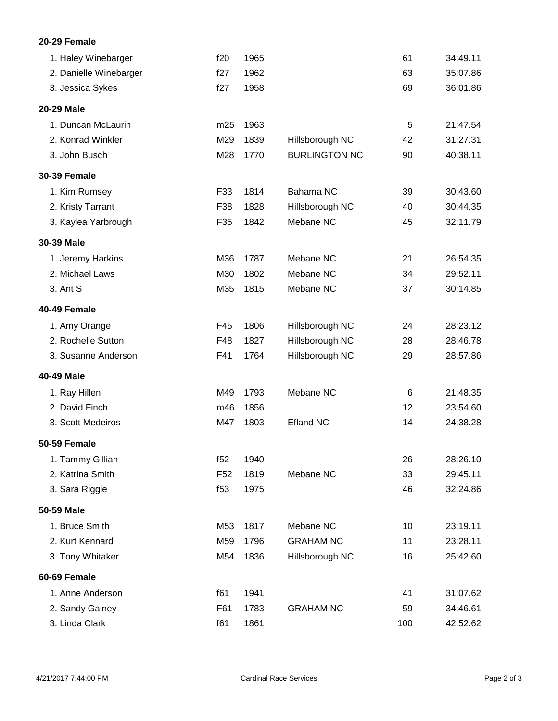## **20-29 Female**

| 1. Haley Winebarger    | f20             | 1965 |                      | 61  | 34:49.11 |
|------------------------|-----------------|------|----------------------|-----|----------|
| 2. Danielle Winebarger | f27             | 1962 |                      | 63  | 35:07.86 |
| 3. Jessica Sykes       | f27             | 1958 |                      | 69  | 36:01.86 |
| 20-29 Male             |                 |      |                      |     |          |
| 1. Duncan McLaurin     | m25             | 1963 |                      | 5   | 21:47.54 |
| 2. Konrad Winkler      | M29             | 1839 | Hillsborough NC      | 42  | 31:27.31 |
| 3. John Busch          | M28             | 1770 | <b>BURLINGTON NC</b> | 90  | 40:38.11 |
| <b>30-39 Female</b>    |                 |      |                      |     |          |
| 1. Kim Rumsey          | F33             | 1814 | Bahama NC            | 39  | 30:43.60 |
| 2. Kristy Tarrant      | F38             | 1828 | Hillsborough NC      | 40  | 30:44.35 |
| 3. Kaylea Yarbrough    | F35             | 1842 | Mebane NC            | 45  | 32:11.79 |
| 30-39 Male             |                 |      |                      |     |          |
| 1. Jeremy Harkins      | M36             | 1787 | Mebane NC            | 21  | 26:54.35 |
| 2. Michael Laws        | M30             | 1802 | Mebane NC            | 34  | 29:52.11 |
| 3. Ant S               | M35             | 1815 | Mebane NC            | 37  | 30:14.85 |
| 40-49 Female           |                 |      |                      |     |          |
| 1. Amy Orange          | F45             | 1806 | Hillsborough NC      | 24  | 28:23.12 |
| 2. Rochelle Sutton     | F48             | 1827 | Hillsborough NC      | 28  | 28:46.78 |
| 3. Susanne Anderson    | F41             | 1764 | Hillsborough NC      | 29  | 28:57.86 |
| 40-49 Male             |                 |      |                      |     |          |
| 1. Ray Hillen          | M49             | 1793 | Mebane NC            | 6   | 21:48.35 |
| 2. David Finch         | m46             | 1856 |                      | 12  | 23:54.60 |
| 3. Scott Medeiros      | M47             | 1803 | <b>Efland NC</b>     | 14  | 24:38.28 |
| <b>50-59 Female</b>    |                 |      |                      |     |          |
| 1. Tammy Gillian       | f52             | 1940 |                      | 26  | 28:26.10 |
| 2. Katrina Smith       | F <sub>52</sub> | 1819 | Mebane NC            | 33  | 29:45.11 |
| 3. Sara Riggle         | f53             | 1975 |                      | 46  | 32:24.86 |
| 50-59 Male             |                 |      |                      |     |          |
| 1. Bruce Smith         | M53             | 1817 | Mebane NC            | 10  | 23:19.11 |
| 2. Kurt Kennard        | M59             | 1796 | <b>GRAHAM NC</b>     | 11  | 23:28.11 |
| 3. Tony Whitaker       | M54             | 1836 | Hillsborough NC      | 16  | 25:42.60 |
| 60-69 Female           |                 |      |                      |     |          |
| 1. Anne Anderson       | f61             | 1941 |                      | 41  | 31:07.62 |
| 2. Sandy Gainey        | F61             | 1783 | <b>GRAHAM NC</b>     | 59  | 34:46.61 |
| 3. Linda Clark         | f61             | 1861 |                      | 100 | 42:52.62 |